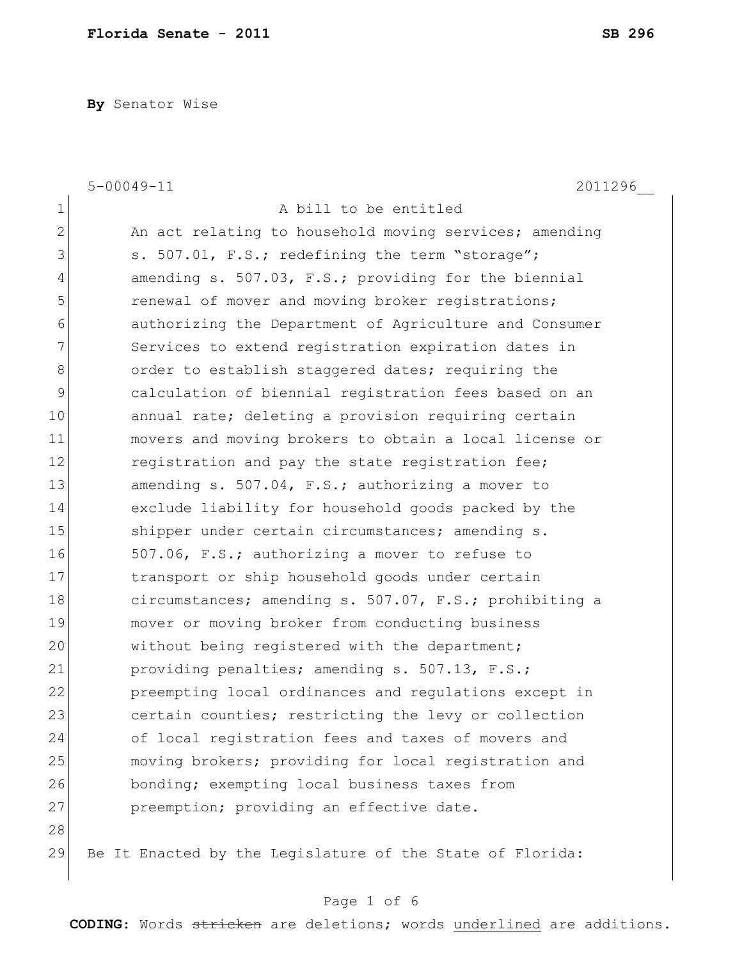**By** Senator Wise

|             | $5 - 00049 - 11$<br>2011296                               |
|-------------|-----------------------------------------------------------|
| $\mathbf 1$ | A bill to be entitled                                     |
| 2           | An act relating to household moving services; amending    |
| 3           | s. 507.01, F.S.; redefining the term "storage";           |
| 4           | amending s. 507.03, F.S.; providing for the biennial      |
| 5           | renewal of mover and moving broker registrations;         |
| 6           | authorizing the Department of Agriculture and Consumer    |
| 7           | Services to extend registration expiration dates in       |
| 8           | order to establish staggered dates; requiring the         |
| 9           | calculation of biennial registration fees based on an     |
| 10          | annual rate; deleting a provision requiring certain       |
| 11          | movers and moving brokers to obtain a local license or    |
| 12          | registration and pay the state registration fee;          |
| 13          | amending s. 507.04, F.S.; authorizing a mover to          |
| 14          | exclude liability for household goods packed by the       |
| 15          | shipper under certain circumstances; amending s.          |
| 16          | 507.06, F.S.; authorizing a mover to refuse to            |
| 17          | transport or ship household goods under certain           |
| 18          | circumstances; amending s. 507.07, F.S.; prohibiting a    |
| 19          | mover or moving broker from conducting business           |
| 20          | without being registered with the department;             |
| 21          | providing penalties; amending s. 507.13, F.S.;            |
| 22          | preempting local ordinances and regulations except in     |
| 23          | certain counties; restricting the levy or collection      |
| 24          | of local registration fees and taxes of movers and        |
| 25          | moving brokers; providing for local registration and      |
| 26          | bonding; exempting local business taxes from              |
| 27          | preemption; providing an effective date.                  |
| 28          |                                                           |
| 29          | Be It Enacted by the Legislature of the State of Florida: |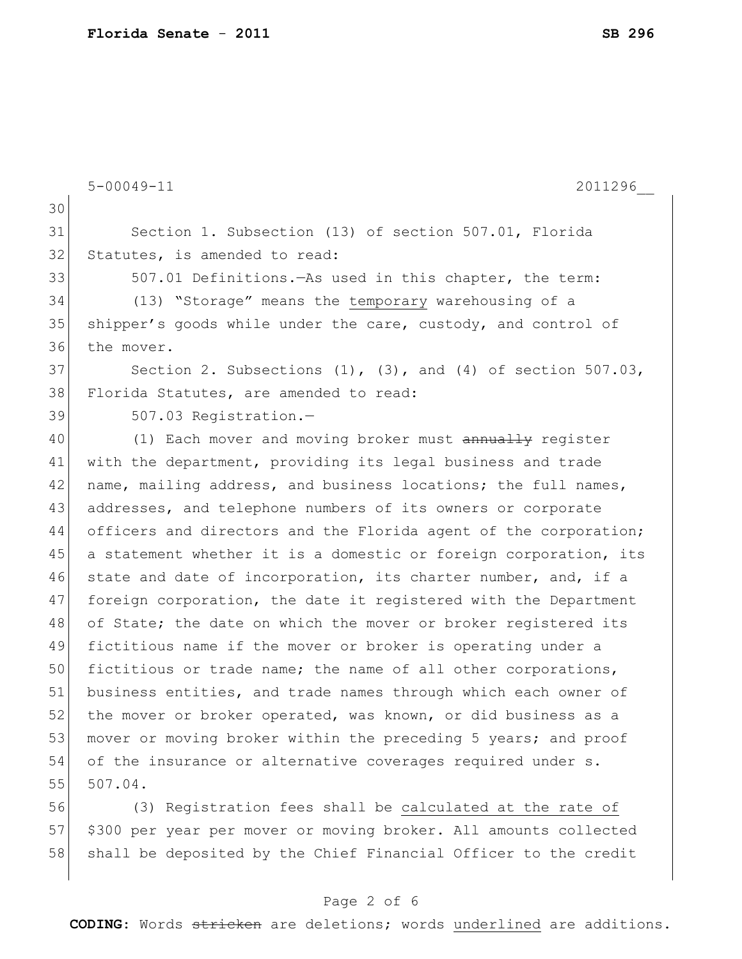|    | $5 - 00049 - 11$<br>2011296                                         |
|----|---------------------------------------------------------------------|
| 30 |                                                                     |
| 31 | Section 1. Subsection (13) of section 507.01, Florida               |
| 32 | Statutes, is amended to read:                                       |
| 33 | 507.01 Definitions. As used in this chapter, the term:              |
| 34 | (13) "Storage" means the temporary warehousing of a                 |
| 35 | shipper's goods while under the care, custody, and control of       |
| 36 | the mover.                                                          |
| 37 | Section 2. Subsections $(1)$ , $(3)$ , and $(4)$ of section 507.03, |
| 38 | Florida Statutes, are amended to read:                              |
| 39 | 507.03 Registration.-                                               |
| 40 | (1) Each mover and moving broker must annually register             |
| 41 | with the department, providing its legal business and trade         |
| 42 | name, mailing address, and business locations; the full names,      |
| 43 | addresses, and telephone numbers of its owners or corporate         |
| 44 | officers and directors and the Florida agent of the corporation;    |
| 45 | a statement whether it is a domestic or foreign corporation, its    |
| 46 | state and date of incorporation, its charter number, and, if a      |
| 47 | foreign corporation, the date it registered with the Department     |
| 48 | of State; the date on which the mover or broker registered its      |
| 49 | fictitious name if the mover or broker is operating under a         |
| 50 | fictitious or trade name; the name of all other corporations,       |
| 51 | business entities, and trade names through which each owner of      |
| 52 | the mover or broker operated, was known, or did business as a       |
| 53 | mover or moving broker within the preceding 5 years; and proof      |
| 54 | of the insurance or alternative coverages required under s.         |
| 55 | 507.04.                                                             |
| 56 | (3) Registration fees shall be calculated at the rate of            |
| 57 | \$300 per year per mover or moving broker. All amounts collected    |

58 shall be deposited by the Chief Financial Officer to the credit

## Page 2 of 6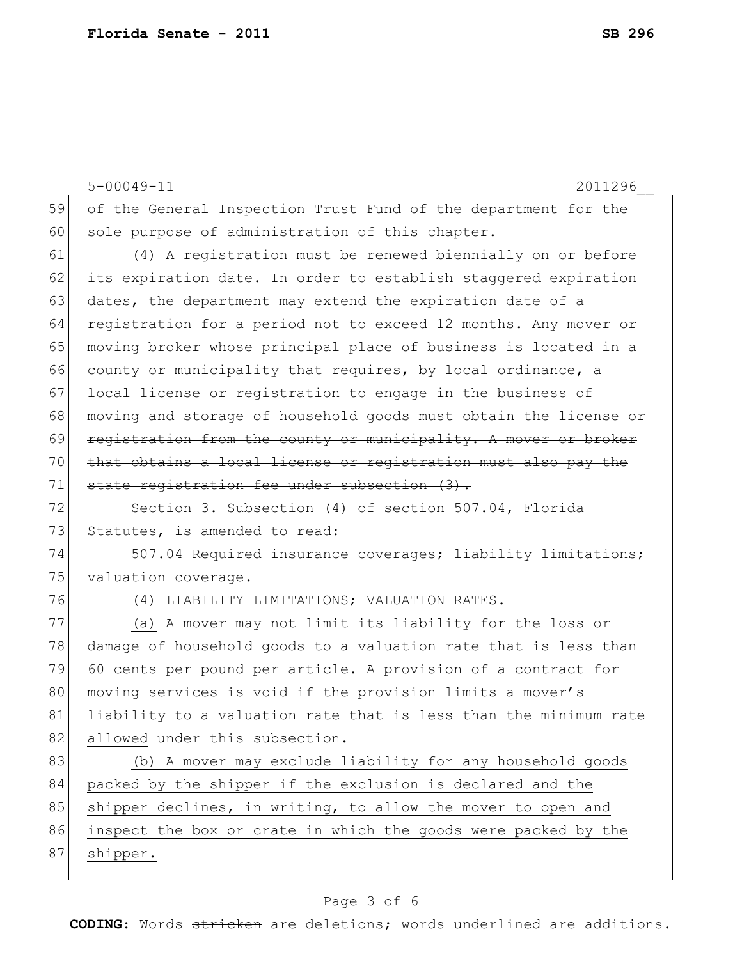|    | $5 - 00049 - 11$<br>2011296                                      |
|----|------------------------------------------------------------------|
| 59 | of the General Inspection Trust Fund of the department for the   |
| 60 | sole purpose of administration of this chapter.                  |
| 61 | (4) A registration must be renewed biennially on or before       |
| 62 | its expiration date. In order to establish staggered expiration  |
| 63 | dates, the department may extend the expiration date of a        |
| 64 | registration for a period not to exceed 12 months. Any mover or  |
| 65 | moving broker whose principal place of business is located in a  |
| 66 | county or municipality that requires, by local ordinance, a      |
| 67 | local license or registration to engage in the business of       |
| 68 | moving and storage of household goods must obtain the license or |
| 69 | registration from the county or municipality. A mover or broker  |
| 70 | that obtains a local license or registration must also pay the   |
| 71 | state registration fee under subsection (3).                     |
| 72 | Section 3. Subsection (4) of section 507.04, Florida             |
| 73 | Statutes, is amended to read:                                    |
| 74 | 507.04 Required insurance coverages; liability limitations;      |
| 75 | valuation coverage.-                                             |
| 76 | (4) LIABILITY LIMITATIONS; VALUATION RATES.-                     |
| 77 | (a) A mover may not limit its liability for the loss or          |
| 78 | damage of household goods to a valuation rate that is less than  |
| 79 | 60 cents per pound per article. A provision of a contract for    |
| 80 | moving services is void if the provision limits a mover's        |
| 81 | liability to a valuation rate that is less than the minimum rate |
| 82 | allowed under this subsection.                                   |
| 83 | (b) A mover may exclude liability for any household goods        |
| 84 | packed by the shipper if the exclusion is declared and the       |
| 85 | shipper declines, in writing, to allow the mover to open and     |
| 86 | inspect the box or crate in which the goods were packed by the   |
| 87 | shipper.                                                         |
|    |                                                                  |

## Page 3 of 6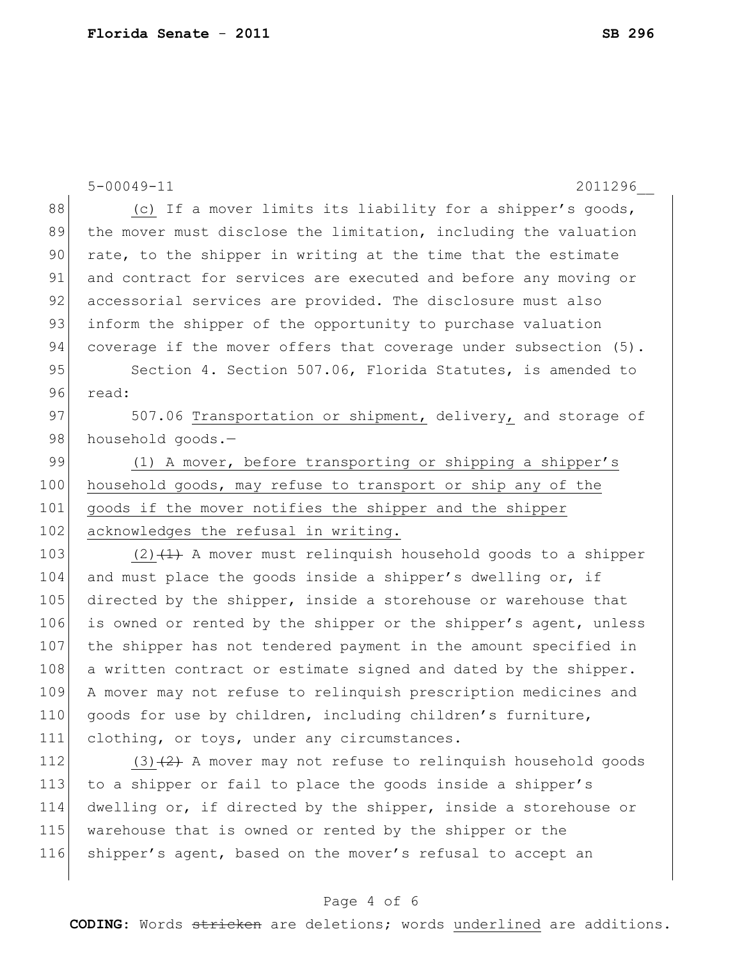|     | $5 - 00049 - 11$<br>2011296                                      |
|-----|------------------------------------------------------------------|
| 88  | (c) If a mover limits its liability for a shipper's goods,       |
| 89  | the mover must disclose the limitation, including the valuation  |
| 90  | rate, to the shipper in writing at the time that the estimate    |
| 91  | and contract for services are executed and before any moving or  |
| 92  | accessorial services are provided. The disclosure must also      |
| 93  | inform the shipper of the opportunity to purchase valuation      |
| 94  | coverage if the mover offers that coverage under subsection (5). |
| 95  | Section 4. Section 507.06, Florida Statutes, is amended to       |
| 96  | read:                                                            |
| 97  | 507.06 Transportation or shipment, delivery, and storage of      |
| 98  | household goods.-                                                |
| 99  | (1) A mover, before transporting or shipping a shipper's         |
| 100 | household goods, may refuse to transport or ship any of the      |
| 101 | goods if the mover notifies the shipper and the shipper          |
| 102 | acknowledges the refusal in writing.                             |
| 103 | $(2)$ $(1)$ A mover must relinguish household goods to a shipper |
| 104 | and must place the goods inside a shipper's dwelling or, if      |
| 105 | directed by the shipper, inside a storehouse or warehouse that   |
| 106 | is owned or rented by the shipper or the shipper's agent, unless |
| 107 | the shipper has not tendered payment in the amount specified in  |
| 108 | a written contract or estimate signed and dated by the shipper.  |
| 109 | A mover may not refuse to relinquish prescription medicines and  |
| 110 | goods for use by children, including children's furniture,       |
| 111 | clothing, or toys, under any circumstances.                      |
| 112 | $(3)$ $(2)$ A mover may not refuse to relinguish household goods |
| 113 | to a shipper or fail to place the goods inside a shipper's       |
| 114 | dwelling or, if directed by the shipper, inside a storehouse or  |
| 115 | warehouse that is owned or rented by the shipper or the          |
| 116 | shipper's agent, based on the mover's refusal to accept an       |
|     |                                                                  |

## Page 4 of 6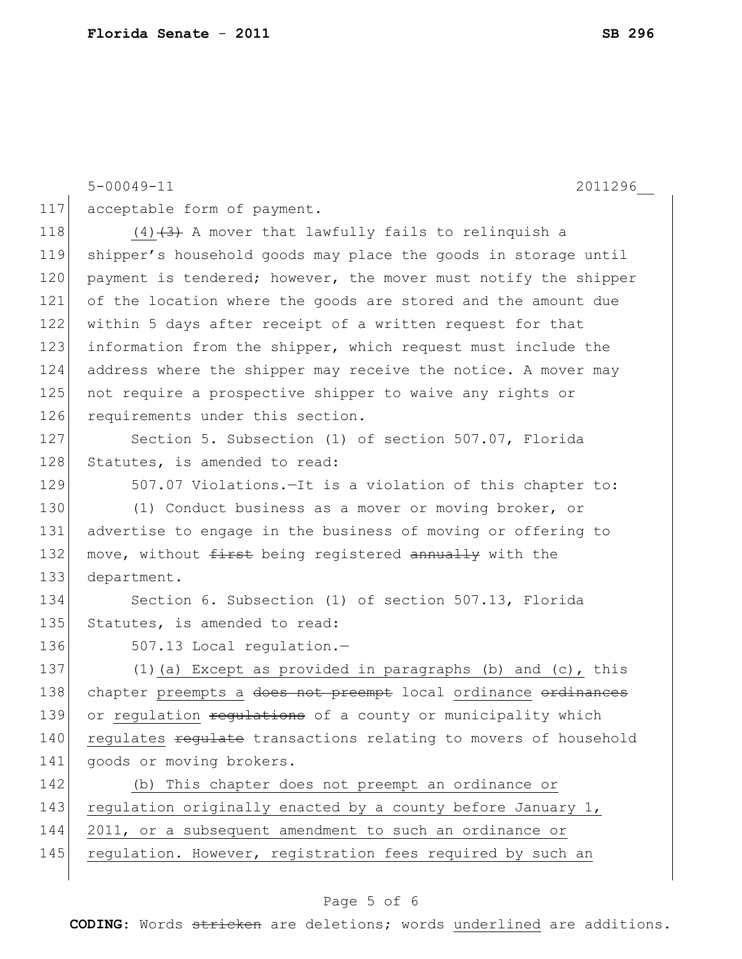|     | $5 - 00049 - 11$<br>2011296                                     |
|-----|-----------------------------------------------------------------|
| 117 | acceptable form of payment.                                     |
| 118 | $(4)$ $(3)$ A mover that lawfully fails to relinquish a         |
| 119 | shipper's household goods may place the goods in storage until  |
| 120 | payment is tendered; however, the mover must notify the shipper |
| 121 | of the location where the goods are stored and the amount due   |
| 122 | within 5 days after receipt of a written request for that       |
| 123 | information from the shipper, which request must include the    |
| 124 | address where the shipper may receive the notice. A mover may   |
| 125 | not require a prospective shipper to waive any rights or        |
| 126 | requirements under this section.                                |
| 127 | Section 5. Subsection (1) of section 507.07, Florida            |
| 128 | Statutes, is amended to read:                                   |
| 129 | 507.07 Violations. - It is a violation of this chapter to:      |
| 130 | (1) Conduct business as a mover or moving broker, or            |
| 131 | advertise to engage in the business of moving or offering to    |
| 132 | move, without first being registered annually with the          |
| 133 | department.                                                     |
| 134 | Section 6. Subsection (1) of section 507.13, Florida            |
| 135 | Statutes, is amended to read:                                   |
| 136 | 507.13 Local regulation.-                                       |
| 137 | (1) (a) Except as provided in paragraphs (b) and (c), this      |
| 138 | chapter preempts a does not preempt local ordinance ordinances  |
| 139 | or regulation regulations of a county or municipality which     |
| 140 | regulates regulate transactions relating to movers of household |
| 141 | goods or moving brokers.                                        |
| 142 | (b) This chapter does not preempt an ordinance or               |
| 143 | regulation originally enacted by a county before January 1,     |
| 144 | 2011, or a subsequent amendment to such an ordinance or         |
| 145 | regulation. However, registration fees required by such an      |
|     |                                                                 |

## Page 5 of 6